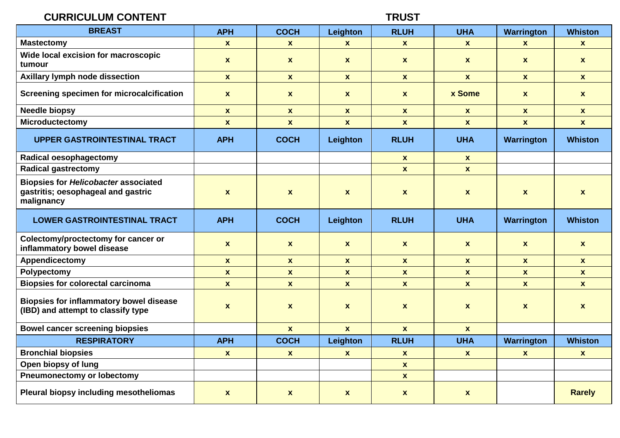## **CURRICULUM CONTENT TRUST**

| <b>BREAST</b>                                                                                   | <b>APH</b>       | <b>COCH</b>        | Leighton           | <b>RLUH</b>        | <b>UHA</b>         | Warrington         | <b>Whiston</b>     |
|-------------------------------------------------------------------------------------------------|------------------|--------------------|--------------------|--------------------|--------------------|--------------------|--------------------|
| <b>Mastectomy</b>                                                                               | $\mathbf{x}$     | $\mathbf{x}$       | $\mathbf{x}$       | $\mathbf{x}$       | $\mathbf{x}$       | $\mathbf{x}$       | $\mathbf{x}$       |
| Wide local excision for macroscopic<br>tumour                                                   | $\mathbf{x}$     | $\mathbf{x}$       | $\mathbf{x}$       | $\mathbf{x}$       | $\mathbf{x}$       | $\mathbf{x}$       | $\mathbf{x}$       |
| Axillary lymph node dissection                                                                  | $\mathbf{x}$     | $\mathbf{x}$       | $\mathbf{x}$       | $\mathbf{x}$       | $\mathbf{x}$       | $\mathbf{x}$       | $\boldsymbol{x}$   |
| Screening specimen for microcalcification                                                       | $\mathbf{x}$     | $\mathbf{x}$       | $\mathbf{x}$       | $\mathbf{x}$       | x Some             | $\mathbf{x}$       | $\mathbf{x}$       |
| <b>Needle biopsy</b>                                                                            | $\mathbf{x}$     | $\boldsymbol{x}$   | $\mathbf{x}$       | $\mathbf{x}$       | $\mathbf{x}$       | $\mathbf{x}$       | $\mathbf{x}$       |
| <b>Microductectomy</b>                                                                          | $\mathbf{x}$     | $\mathbf{x}$       | $\mathbf{x}$       | $\mathbf{x}$       | $\mathbf{x}$       | $\mathbf{x}$       | $\pmb{\mathsf{x}}$ |
| <b>UPPER GASTROINTESTINAL TRACT</b>                                                             | <b>APH</b>       | <b>COCH</b>        | Leighton           | <b>RLUH</b>        | <b>UHA</b>         | Warrington         | <b>Whiston</b>     |
| <b>Radical oesophagectomy</b>                                                                   |                  |                    |                    | $\pmb{\mathsf{X}}$ | $\mathbf{x}$       |                    |                    |
| <b>Radical gastrectomy</b>                                                                      |                  |                    |                    | $\mathbf{x}$       | $\mathbf{x}$       |                    |                    |
| <b>Biopsies for Helicobacter associated</b><br>gastritis; oesophageal and gastric<br>malignancy | $\boldsymbol{x}$ | $\pmb{\chi}$       | $\mathbf{x}$       | $\pmb{\mathsf{X}}$ | $\mathbf{x}$       | $\pmb{\mathsf{X}}$ | $\mathbf{x}$       |
| <b>LOWER GASTROINTESTINAL TRACT</b>                                                             | <b>APH</b>       | <b>COCH</b>        | Leighton           | <b>RLUH</b>        | <b>UHA</b>         | Warrington         | <b>Whiston</b>     |
| Colectomy/proctectomy for cancer or<br>inflammatory bowel disease                               | $\mathbf{x}$     | $\boldsymbol{x}$   | $\mathbf{x}$       | $\mathbf{x}$       | $\mathbf{x}$       | $\mathbf{x}$       | $\mathbf{x}$       |
| Appendicectomy                                                                                  | $\mathbf{x}$     | $\mathbf{x}$       | $\mathbf{x}$       | $\mathbf{x}$       | $\mathbf{x}$       | $\mathbf{x}$       | $\mathbf{x}$       |
| Polypectomy                                                                                     | $\mathbf{x}$     | $\pmb{\mathsf{x}}$ | $\pmb{\mathsf{x}}$ | $\pmb{\mathsf{x}}$ | $\pmb{\mathsf{x}}$ | $\mathbf{x}$       | $\pmb{\mathsf{x}}$ |
| <b>Biopsies for colorectal carcinoma</b>                                                        | $\mathbf{x}$     | $\mathbf{x}$       | $\mathbf{x}$       | $\mathbf{x}$       | $\mathbf{x}$       | $\mathbf{x}$       | $\mathbf{x}$       |
| <b>Biopsies for inflammatory bowel disease</b><br>(IBD) and attempt to classify type            | $\boldsymbol{x}$ | $\pmb{\mathsf{x}}$ | $\mathbf{x}$       | $\pmb{\mathsf{X}}$ | $\pmb{\mathsf{X}}$ | $\pmb{\mathsf{X}}$ | $\pmb{\mathsf{X}}$ |
| <b>Bowel cancer screening biopsies</b>                                                          |                  | $\mathbf{x}$       | $\mathbf{x}$       | $\mathbf{x}$       | $\mathbf{x}$       |                    |                    |
| <b>RESPIRATORY</b>                                                                              | <b>APH</b>       | <b>COCH</b>        | Leighton           | <b>RLUH</b>        | <b>UHA</b>         | <b>Warrington</b>  | <b>Whiston</b>     |
| <b>Bronchial biopsies</b>                                                                       | $\boldsymbol{x}$ | $\mathbf{x}$       | $\mathbf{x}$       | $\mathbf{x}$       | $\mathbf{x}$       | $\mathbf{x}$       | $\boldsymbol{x}$   |
| Open biopsy of lung                                                                             |                  |                    |                    | $\mathbf{x}$       |                    |                    |                    |
| <b>Pneumonectomy or lobectomy</b>                                                               |                  |                    |                    | $\mathbf{x}$       |                    |                    |                    |
| Pleural biopsy including mesotheliomas                                                          | $\boldsymbol{x}$ | $\mathbf{x}$       | $\mathbf{x}$       | $\boldsymbol{x}$   | $\pmb{\mathsf{X}}$ |                    | <b>Rarely</b>      |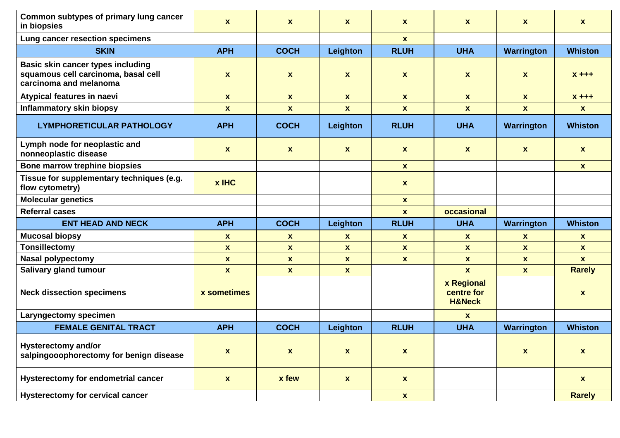| Common subtypes of primary lung cancer<br>in biopsies                                                     | $\boldsymbol{x}$   | $\mathbf{x}$       | $\mathbf{x}$              | $\mathbf{x}$       | <b>X</b>                                      | <b>X</b>          | $\mathbf{x}$     |
|-----------------------------------------------------------------------------------------------------------|--------------------|--------------------|---------------------------|--------------------|-----------------------------------------------|-------------------|------------------|
| Lung cancer resection specimens                                                                           |                    |                    |                           | $\mathbf{x}$       |                                               |                   |                  |
| <b>SKIN</b>                                                                                               | <b>APH</b>         | <b>COCH</b>        | Leighton                  | <b>RLUH</b>        | <b>UHA</b>                                    | Warrington        | <b>Whiston</b>   |
| <b>Basic skin cancer types including</b><br>squamous cell carcinoma, basal cell<br>carcinoma and melanoma | $\mathbf{x}$       | $\mathbf{x}$       | $\mathbf{x}$              | $\mathbf{x}$       | $\mathbf{x}$                                  | <b>X</b>          | $X + + +$        |
| Atypical features in naevi                                                                                | $\mathbf{x}$       | $\mathbf{x}$       | $\boldsymbol{x}$          | $\mathbf{x}$       | $\mathbf{x}$                                  | $\mathbf{x}$      | $X + + +$        |
| <b>Inflammatory skin biopsy</b>                                                                           | $\mathbf{x}$       | $\mathbf{x}$       | $\boldsymbol{x}$          | $\mathbf{x}$       | $\mathbf{x}$                                  | $\mathbf{x}$      | $\mathbf{x}$     |
| <b>LYMPHORETICULAR PATHOLOGY</b>                                                                          | <b>APH</b>         | <b>COCH</b>        | Leighton                  | <b>RLUH</b>        | <b>UHA</b>                                    | Warrington        | <b>Whiston</b>   |
| Lymph node for neoplastic and<br>nonneoplastic disease                                                    | $\boldsymbol{x}$   | $\boldsymbol{x}$   | $\mathbf{x}$              | $\mathbf{x}$       | $\mathbf{x}$                                  | <b>X</b>          | $\mathbf{x}$     |
| Bone marrow trephine biopsies                                                                             |                    |                    |                           | $\mathbf{x}$       |                                               |                   | $\mathbf{x}$     |
| Tissue for supplementary techniques (e.g.<br>flow cytometry)                                              | $x$ IHC            |                    |                           | $\mathbf{x}$       |                                               |                   |                  |
| <b>Molecular genetics</b>                                                                                 |                    |                    |                           | $\mathbf{x}$       |                                               |                   |                  |
|                                                                                                           |                    |                    |                           |                    |                                               |                   |                  |
| <b>Referral cases</b>                                                                                     |                    |                    |                           | $\mathbf{x}$       | occasional                                    |                   |                  |
| <b>ENT HEAD AND NECK</b>                                                                                  | <b>APH</b>         | <b>COCH</b>        | Leighton                  | <b>RLUH</b>        | <b>UHA</b>                                    | Warrington        | <b>Whiston</b>   |
| <b>Mucosal biopsy</b>                                                                                     | $\mathbf{x}$       | <b>X</b>           | $\mathbf{x}$              | $\mathbf{x}$       | <b>X</b>                                      | <b>X</b>          | X                |
| <b>Tonsillectomy</b>                                                                                      | $\mathbf{x}$       | X                  | $\boldsymbol{x}$          | $\mathbf{x}$       | $\mathbf{x}$                                  | $\mathbf{x}$      | $\mathbf{x}$     |
| <b>Nasal polypectomy</b>                                                                                  | $\mathbf{x}$       | $\boldsymbol{x}$   | $\pmb{\mathsf{x}}$        | $\mathbf{x}$       | $\mathbf{x}$                                  | $\mathbf{x}$      | $\mathbf{x}$     |
| Salivary gland tumour                                                                                     | $\mathbf{x}$       | $\mathbf{x}$       | $\mathbf{x}$              |                    | $\mathbf{x}$                                  | $\mathbf{x}$      | <b>Rarely</b>    |
| <b>Neck dissection specimens</b>                                                                          | x sometimes        |                    |                           |                    | x Regional<br>centre for<br><b>H&amp;Neck</b> |                   | $\mathbf{x}$     |
| Laryngectomy specimen                                                                                     |                    |                    |                           |                    | $\mathbf{x}$                                  |                   |                  |
| <b>FEMALE GENITAL TRACT</b>                                                                               | <b>APH</b>         | <b>COCH</b>        | Leighton                  | <b>RLUH</b>        | <b>UHA</b>                                    | <b>Warrington</b> | <b>Whiston</b>   |
| <b>Hysterectomy and/or</b><br>salpingooophorectomy for benign disease                                     | $\pmb{\mathsf{x}}$ | $\pmb{\mathsf{x}}$ | $\boldsymbol{\mathsf{x}}$ | $\pmb{\mathsf{X}}$ |                                               | $\mathbf{x}$      | $\boldsymbol{x}$ |
| <b>Hysterectomy for endometrial cancer</b>                                                                | $\pmb{\mathsf{X}}$ | <b>x</b> few       | $\pmb{\mathsf{x}}$        | $\pmb{\mathsf{X}}$ |                                               |                   | $\mathbf{x}$     |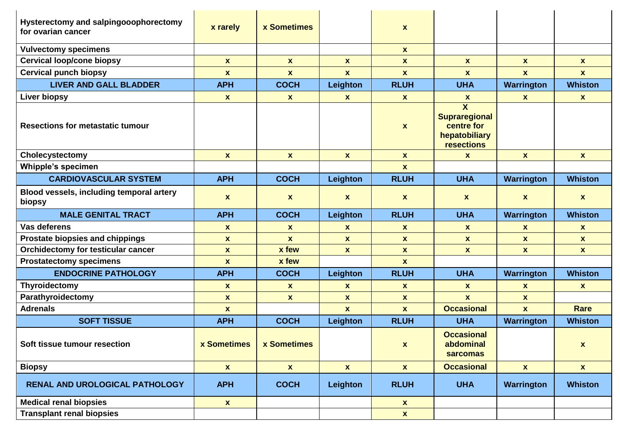| Hysterectomy and salpingooophorectomy<br>for ovarian cancer | x rarely           | <b>x Sometimes</b> |                    | X                |                                                                                              |                   |                    |
|-------------------------------------------------------------|--------------------|--------------------|--------------------|------------------|----------------------------------------------------------------------------------------------|-------------------|--------------------|
| <b>Vulvectomy specimens</b>                                 |                    |                    |                    | $\mathbf{x}$     |                                                                                              |                   |                    |
| <b>Cervical loop/cone biopsy</b>                            | $\mathbf{x}$       | $\mathbf{x}$       | $\mathbf{x}$       | $\mathbf{x}$     | $\mathbf{x}$                                                                                 | $\mathbf{x}$      | $\mathbf{x}$       |
| <b>Cervical punch biopsy</b>                                | $\mathbf{x}$       | $\mathbf{x}$       | $\boldsymbol{x}$   | $\mathbf{x}$     | $\mathbf{x}$                                                                                 | $\mathbf{x}$      | $\mathbf{x}$       |
| <b>LIVER AND GALL BLADDER</b>                               | <b>APH</b>         | <b>COCH</b>        | Leighton           | <b>RLUH</b>      | <b>UHA</b>                                                                                   | <b>Warrington</b> | <b>Whiston</b>     |
| <b>Liver biopsy</b>                                         | $\mathbf{x}$       | $\mathbf{x}$       | $\mathbf{x}$       | $\mathbf{x}$     | $\mathbf{x}$                                                                                 | $\mathbf{x}$      | $\mathbf{x}$       |
| <b>Resections for metastatic tumour</b>                     |                    |                    |                    | $\boldsymbol{x}$ | $\overline{\mathbf{X}}$<br><b>Supraregional</b><br>centre for<br>hepatobiliary<br>resections |                   |                    |
| Cholecystectomy                                             | $\mathbf{x}$       | $\mathbf{x}$       | $\mathbf{x}$       | $\mathbf{x}$     | $\mathbf{x}$                                                                                 | $\mathbf{x}$      | $\mathbf{x}$       |
| <b>Whipple's specimen</b>                                   |                    |                    |                    | $\mathbf{x}$     |                                                                                              |                   |                    |
| <b>CARDIOVASCULAR SYSTEM</b>                                | <b>APH</b>         | <b>COCH</b>        | Leighton           | <b>RLUH</b>      | <b>UHA</b>                                                                                   | <b>Warrington</b> | <b>Whiston</b>     |
| Blood vessels, including temporal artery<br>biopsy          | $\mathbf{x}$       | $\mathbf{x}$       | $\boldsymbol{x}$   | X                | $\mathbf{x}$                                                                                 | $\mathbf{x}$      | $\mathbf{x}$       |
| <b>MALE GENITAL TRACT</b>                                   | <b>APH</b>         | <b>COCH</b>        | Leighton           | <b>RLUH</b>      | <b>UHA</b>                                                                                   | <b>Warrington</b> | <b>Whiston</b>     |
| Vas deferens                                                | $\mathbf{x}$       | <b>X</b>           | $\mathbf{x}$       | $\mathbf{x}$     | $\mathbf{x}$                                                                                 | <b>X</b>          | $\mathbf{x}$       |
| Prostate biopsies and chippings                             | $\mathbf{x}$       | $\mathbf{x}$       | $\mathbf{x}$       | $\mathbf{x}$     | $\mathbf{x}$                                                                                 | $\mathbf{x}$      | $\mathbf{x}$       |
| Orchidectomy for testicular cancer                          | $\mathbf{x}$       | <b>x</b> few       | $\mathbf{x}$       | $\mathbf{x}$     | $\mathbf{x}$                                                                                 | $\mathbf{x}$      | $\mathbf{x}$       |
| <b>Prostatectomy specimens</b>                              | $\mathbf{x}$       | <b>x</b> few       |                    | $\mathbf{x}$     |                                                                                              |                   |                    |
| <b>ENDOCRINE PATHOLOGY</b>                                  | <b>APH</b>         | <b>COCH</b>        | Leighton           | <b>RLUH</b>      | <b>UHA</b>                                                                                   | <b>Warrington</b> | <b>Whiston</b>     |
| Thyroidectomy                                               | $\boldsymbol{x}$   | $\mathbf{x}$       | $\boldsymbol{x}$   | $\mathbf{x}$     | $\boldsymbol{x}$                                                                             | $\mathbf{x}$      | $\mathbf{x}$       |
| Parathyroidectomy                                           | $\mathbf{x}$       | $\mathbf{x}$       | $\mathbf{x}$       | $\mathbf{x}$     | $\mathbf{x}$                                                                                 | $\mathbf{x}$      |                    |
| <b>Adrenals</b>                                             | $\mathbf{x}$       |                    | $\mathbf{x}$       | $\mathbf{x}$     | <b>Occasional</b>                                                                            | $\mathbf{x}$      | <b>Rare</b>        |
| <b>SOFT TISSUE</b>                                          | <b>APH</b>         | <b>COCH</b>        | Leighton           | <b>RLUH</b>      | <b>UHA</b>                                                                                   | Warrington        | <b>Whiston</b>     |
| Soft tissue tumour resection                                | x Sometimes        | <b>x Sometimes</b> |                    | $\boldsymbol{x}$ | <b>Occasional</b><br>abdominal<br><b>sarcomas</b>                                            |                   | $\mathbf{x}$       |
| <b>Biopsy</b>                                               | $\mathbf{x}$       | $\mathbf{x}$       | $\pmb{\mathsf{X}}$ | $\mathbf{x}$     | <b>Occasional</b>                                                                            | $\mathbf{x}$      | $\pmb{\mathsf{X}}$ |
| RENAL AND UROLOGICAL PATHOLOGY                              | <b>APH</b>         | <b>COCH</b>        | Leighton           | <b>RLUH</b>      | <b>UHA</b>                                                                                   | Warrington        | <b>Whiston</b>     |
| <b>Medical renal biopsies</b>                               | $\pmb{\mathsf{X}}$ |                    |                    | $\mathbf{x}$     |                                                                                              |                   |                    |
| <b>Transplant renal biopsies</b>                            |                    |                    |                    | $\mathbf{x}$     |                                                                                              |                   |                    |